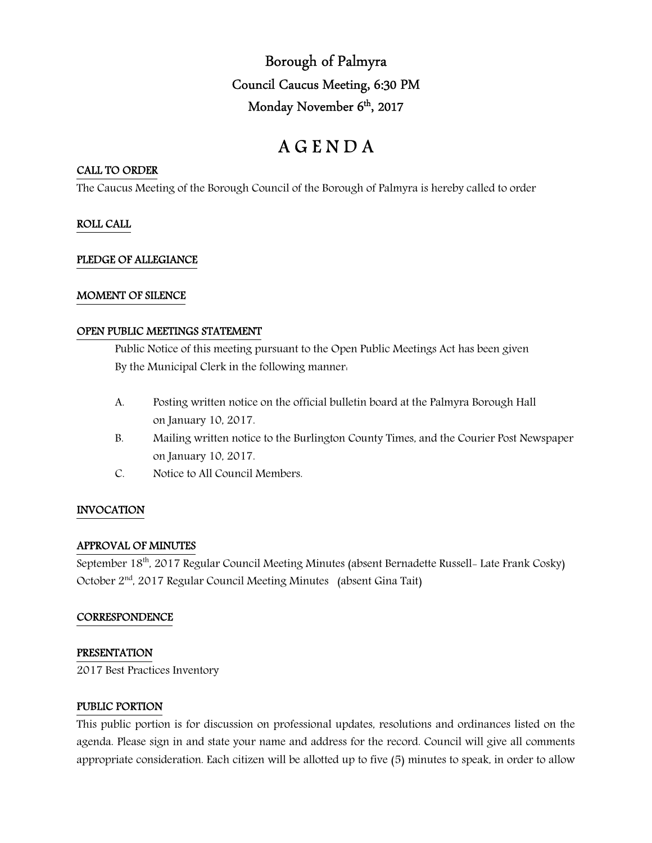Borough of Palmyra Council Caucus Meeting, 6:30 PM Monday November 6<sup>th</sup>, 2017

# A G E N D A

# CALL TO ORDER

The Caucus Meeting of the Borough Council of the Borough of Palmyra is hereby called to order

# ROLL CALL

# PLEDGE OF ALLEGIANCE

### MOMENT OF SILENCE

### OPEN PUBLIC MEETINGS STATEMENT

 Public Notice of this meeting pursuant to the Open Public Meetings Act has been given By the Municipal Clerk in the following manner:

- A. Posting written notice on the official bulletin board at the Palmyra Borough Hall on January 10, 2017.
- B. Mailing written notice to the Burlington County Times, and the Courier Post Newspaper on January 10, 2017.
- C. Notice to All Council Members.

# INVOCATION

#### APPROVAL OF MINUTES

September 18<sup>th</sup>, 2017 Regular Council Meeting Minutes (absent Bernadette Russell- Late Frank Cosky) October 2nd, 2017 Regular Council Meeting Minutes (absent Gina Tait)

#### **CORRESPONDENCE**

#### PRESENTATION

2017 Best Practices Inventory

#### PUBLIC PORTION

This public portion is for discussion on professional updates, resolutions and ordinances listed on the agenda. Please sign in and state your name and address for the record. Council will give all comments appropriate consideration. Each citizen will be allotted up to five (5) minutes to speak, in order to allow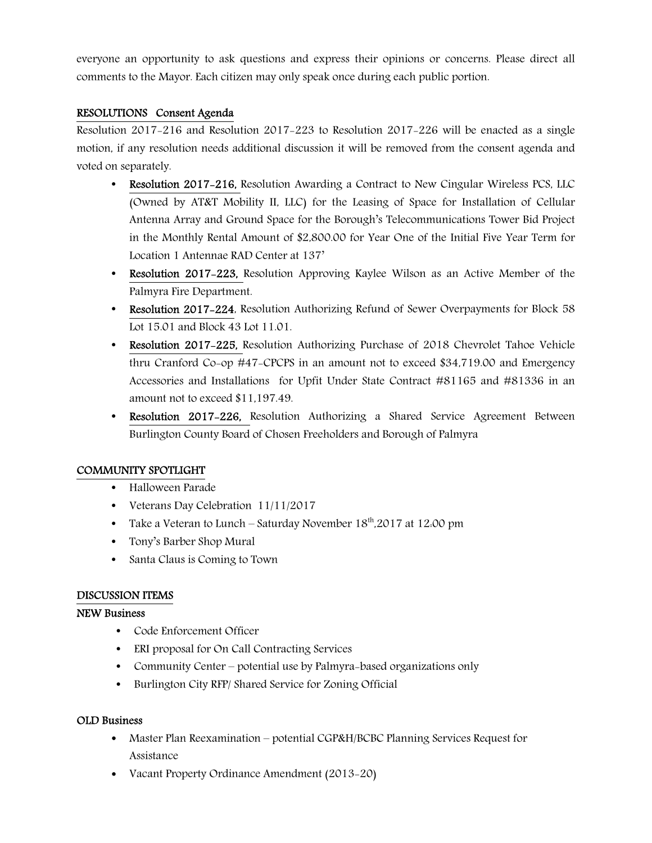everyone an opportunity to ask questions and express their opinions or concerns. Please direct all comments to the Mayor. Each citizen may only speak once during each public portion.

# RESOLUTIONS Consent Agenda

Resolution 2017-216 and Resolution 2017-223 to Resolution 2017-226 will be enacted as a single motion, if any resolution needs additional discussion it will be removed from the consent agenda and voted on separately.

- Resolution 2017-216, Resolution Awarding a Contract to New Cingular Wireless PCS, LLC (Owned by AT&T Mobility II, LLC) for the Leasing of Space for Installation of Cellular Antenna Array and Ground Space for the Borough's Telecommunications Tower Bid Project in the Monthly Rental Amount of \$2,800.00 for Year One of the Initial Five Year Term for Location 1 Antennae RAD Center at 137'
- Resolution 2017-223, Resolution Approving Kaylee Wilson as an Active Member of the Palmyra Fire Department.
- Resolution 2017-224, Resolution Authorizing Refund of Sewer Overpayments for Block 58 Lot 15.01 and Block 43 Lot 11.01.
- Resolution 2017-225, Resolution Authorizing Purchase of 2018 Chevrolet Tahoe Vehicle thru Cranford Co-op #47-CPCPS in an amount not to exceed \$34,719.00 and Emergency Accessories and Installations for Upfit Under State Contract #81165 and #81336 in an amount not to exceed \$11,197.49.
- **Resolution 2017-226,** Resolution Authorizing a Shared Service Agreement Between Burlington County Board of Chosen Freeholders and Borough of Palmyra

# COMMUNITY SPOTLIGHT

- Halloween Parade
- Veterans Day Celebration 11/11/2017
- Take a Veteran to Lunch Saturday November  $18<sup>th</sup>$ , 2017 at 12:00 pm
- Tony's Barber Shop Mural
- Santa Claus is Coming to Town

# DISCUSSION ITEMS

# NEW Business

- Code Enforcement Officer
- ERI proposal for On Call Contracting Services
- Community Center potential use by Palmyra-based organizations only
- Burlington City RFP/ Shared Service for Zoning Official

# OLD Business

- Master Plan Reexamination potential CGP&H/BCBC Planning Services Request for Assistance
- Vacant Property Ordinance Amendment (2013-20)